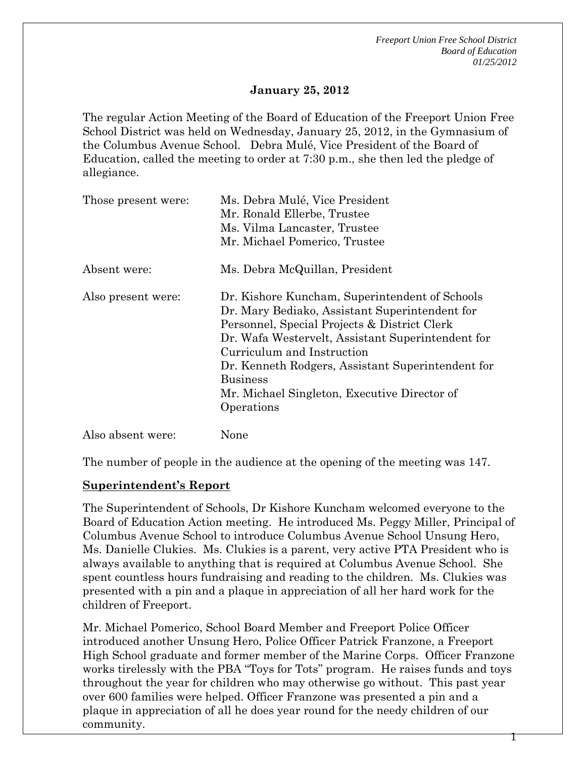1

# **January 25, 2012**

The regular Action Meeting of the Board of Education of the Freeport Union Free School District was held on Wednesday, January 25, 2012, in the Gymnasium of the Columbus Avenue School. Debra Mulé, Vice President of the Board of Education, called the meeting to order at 7:30 p.m., she then led the pledge of allegiance.

| Those present were: | Ms. Debra Mulé, Vice President<br>Mr. Ronald Ellerbe, Trustee<br>Ms. Vilma Lancaster, Trustee                                                                                                                                                                                                                                                                             |  |
|---------------------|---------------------------------------------------------------------------------------------------------------------------------------------------------------------------------------------------------------------------------------------------------------------------------------------------------------------------------------------------------------------------|--|
|                     | Mr. Michael Pomerico, Trustee                                                                                                                                                                                                                                                                                                                                             |  |
| Absent were:        | Ms. Debra McQuillan, President                                                                                                                                                                                                                                                                                                                                            |  |
| Also present were:  | Dr. Kishore Kuncham, Superintendent of Schools<br>Dr. Mary Bediako, Assistant Superintendent for<br>Personnel, Special Projects & District Clerk<br>Dr. Wafa Westervelt, Assistant Superintendent for<br>Curriculum and Instruction<br>Dr. Kenneth Rodgers, Assistant Superintendent for<br><b>Business</b><br>Mr. Michael Singleton, Executive Director of<br>Operations |  |
| Also absent were:   | None                                                                                                                                                                                                                                                                                                                                                                      |  |

The number of people in the audience at the opening of the meeting was 147.

### **Superintendent's Report**

The Superintendent of Schools, Dr Kishore Kuncham welcomed everyone to the Board of Education Action meeting. He introduced Ms. Peggy Miller, Principal of Columbus Avenue School to introduce Columbus Avenue School Unsung Hero, Ms. Danielle Clukies. Ms. Clukies is a parent, very active PTA President who is always available to anything that is required at Columbus Avenue School. She spent countless hours fundraising and reading to the children. Ms. Clukies was presented with a pin and a plaque in appreciation of all her hard work for the children of Freeport.

Mr. Michael Pomerico, School Board Member and Freeport Police Officer introduced another Unsung Hero, Police Officer Patrick Franzone, a Freeport High School graduate and former member of the Marine Corps. Officer Franzone works tirelessly with the PBA "Toys for Tots" program. He raises funds and toys throughout the year for children who may otherwise go without. This past year over 600 families were helped. Officer Franzone was presented a pin and a plaque in appreciation of all he does year round for the needy children of our community.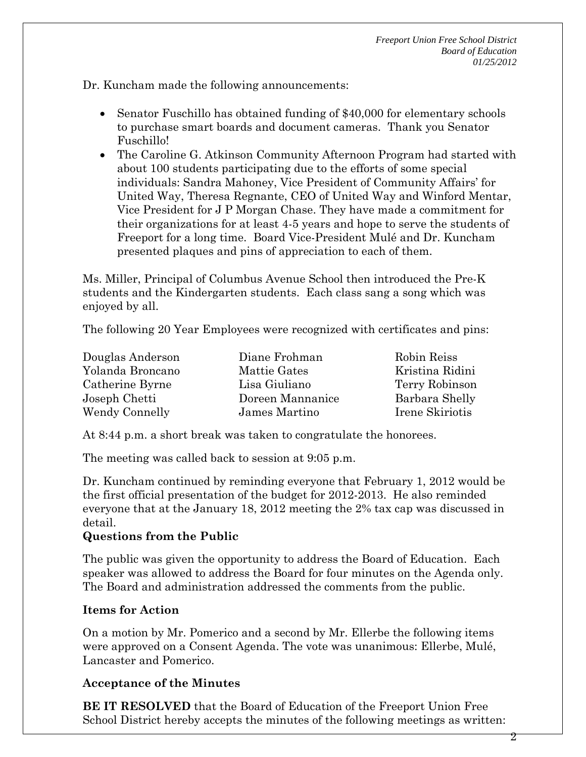Dr. Kuncham made the following announcements:

- Senator Fuschillo has obtained funding of \$40,000 for elementary schools to purchase smart boards and document cameras. Thank you Senator Fuschillo!
- The Caroline G. Atkinson Community Afternoon Program had started with about 100 students participating due to the efforts of some special individuals: Sandra Mahoney, Vice President of Community Affairs' for United Way, Theresa Regnante, CEO of United Way and Winford Mentar, Vice President for J P Morgan Chase. They have made a commitment for their organizations for at least 4-5 years and hope to serve the students of Freeport for a long time. Board Vice-President Mulé and Dr. Kuncham presented plaques and pins of appreciation to each of them.

Ms. Miller, Principal of Columbus Avenue School then introduced the Pre-K students and the Kindergarten students. Each class sang a song which was enjoyed by all.

The following 20 Year Employees were recognized with certificates and pins:

| Douglas Anderson | Diane Frohman    | Robin Reiss     |
|------------------|------------------|-----------------|
| Yolanda Broncano | Mattie Gates     | Kristina Ridini |
| Catherine Byrne  | Lisa Giuliano    | Terry Robinson  |
| Joseph Chetti    | Doreen Mannanice | Barbara Shelly  |
| Wendy Connelly   | James Martino    | Irene Skiriotis |

At 8:44 p.m. a short break was taken to congratulate the honorees.

The meeting was called back to session at 9:05 p.m.

Dr. Kuncham continued by reminding everyone that February 1, 2012 would be the first official presentation of the budget for 2012-2013. He also reminded everyone that at the January 18, 2012 meeting the 2% tax cap was discussed in detail.

# **Questions from the Public**

The public was given the opportunity to address the Board of Education. Each speaker was allowed to address the Board for four minutes on the Agenda only. The Board and administration addressed the comments from the public.

# **Items for Action**

On a motion by Mr. Pomerico and a second by Mr. Ellerbe the following items were approved on a Consent Agenda. The vote was unanimous: Ellerbe, Mulé, Lancaster and Pomerico.

# **Acceptance of the Minutes**

**BE IT RESOLVED** that the Board of Education of the Freeport Union Free School District hereby accepts the minutes of the following meetings as written: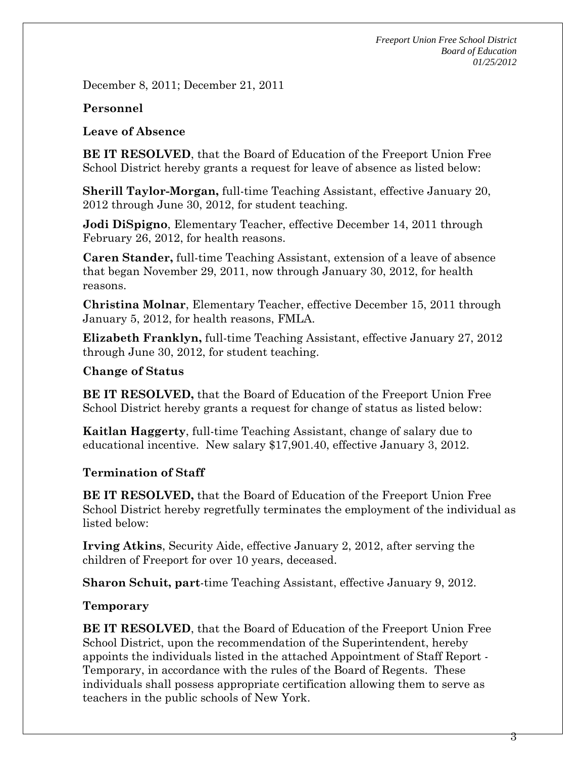December 8, 2011; December 21, 2011

### **Personnel**

### **Leave of Absence**

**BE IT RESOLVED**, that the Board of Education of the Freeport Union Free School District hereby grants a request for leave of absence as listed below:

**Sherill Taylor-Morgan,** full-time Teaching Assistant, effective January 20, 2012 through June 30, 2012, for student teaching.

**Jodi DiSpigno**, Elementary Teacher, effective December 14, 2011 through February 26, 2012, for health reasons.

**Caren Stander,** full-time Teaching Assistant, extension of a leave of absence that began November 29, 2011, now through January 30, 2012, for health reasons.

**Christina Molnar**, Elementary Teacher, effective December 15, 2011 through January 5, 2012, for health reasons, FMLA.

**Elizabeth Franklyn,** full-time Teaching Assistant, effective January 27, 2012 through June 30, 2012, for student teaching.

### **Change of Status**

**BE IT RESOLVED,** that the Board of Education of the Freeport Union Free School District hereby grants a request for change of status as listed below:

**Kaitlan Haggerty**, full-time Teaching Assistant, change of salary due to educational incentive. New salary \$17,901.40, effective January 3, 2012.

# **Termination of Staff**

**BE IT RESOLVED,** that the Board of Education of the Freeport Union Free School District hereby regretfully terminates the employment of the individual as listed below:

**Irving Atkins**, Security Aide, effective January 2, 2012, after serving the children of Freeport for over 10 years, deceased.

**Sharon Schuit, part**-time Teaching Assistant, effective January 9, 2012.

### **Temporary**

**BE IT RESOLVED**, that the Board of Education of the Freeport Union Free School District, upon the recommendation of the Superintendent, hereby appoints the individuals listed in the attached Appointment of Staff Report - Temporary, in accordance with the rules of the Board of Regents. These individuals shall possess appropriate certification allowing them to serve as teachers in the public schools of New York.

3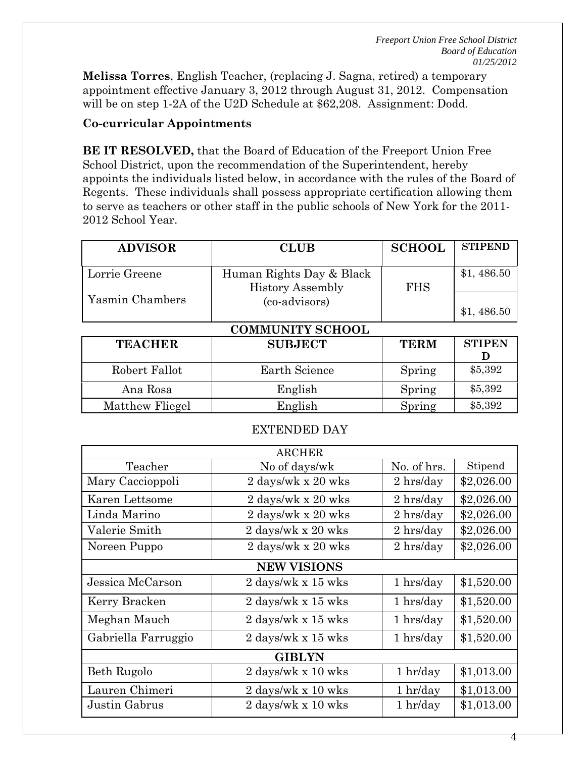4

**Melissa Torres**, English Teacher, (replacing J. Sagna, retired) a temporary appointment effective January 3, 2012 through August 31, 2012. Compensation will be on step 1-2A of the U2D Schedule at \$62,208. Assignment: Dodd.

### **Co-curricular Appointments**

**BE IT RESOLVED,** that the Board of Education of the Freeport Union Free School District, upon the recommendation of the Superintendent, hereby appoints the individuals listed below, in accordance with the rules of the Board of Regents. These individuals shall possess appropriate certification allowing them to serve as teachers or other staff in the public schools of New York for the 2011- 2012 School Year.

| <b>ADVISOR</b>          | <b>CLUB</b>              | <b>SCHOOL</b> | <b>STIPEND</b> |
|-------------------------|--------------------------|---------------|----------------|
|                         |                          |               |                |
| Lorrie Greene           | Human Rights Day & Black |               | \$1,486.50     |
|                         | <b>History Assembly</b>  | <b>FHS</b>    |                |
| Yasmin Chambers         | (co-advisors)            |               |                |
|                         |                          |               | \$1,486.50     |
| <b>COMMUNITY SCHOOL</b> |                          |               |                |
| <b>TEACHER</b>          | <b>SUBJECT</b>           | <b>TERM</b>   | <b>STIPEN</b>  |
|                         |                          |               | I)             |
| Robert Fallot           | <b>Earth Science</b>     | Spring        | \$5,392        |
| Ana Rosa                | Spring<br>English        |               | \$5,392        |
| Matthew Fliegel         | English<br>Spring        |               | \$5,392        |

#### EXTENDED DAY

|                     | <b>ARCHER</b>                        |                         |            |
|---------------------|--------------------------------------|-------------------------|------------|
| Teacher             | No of days/wk                        | No. of hrs.             | Stipend    |
| Mary Caccioppoli    | 2 days/wk x 20 wks                   | 2 hrs/day<br>\$2,026.00 |            |
| Karen Lettsome      | 2 days/wk x 20 wks                   | 2 hrs/day               | \$2,026.00 |
| Linda Marino        | 2 days/wk x 20 wks                   | 2 hrs/day               | \$2,026.00 |
| Valerie Smith       | 2 days/wk x 20 wks<br>2 hrs/day      |                         | \$2,026.00 |
| Noreen Puppo        | 2 days/wk x 20 wks<br>$2 \,$ hrs/day |                         | \$2,026.00 |
| <b>NEW VISIONS</b>  |                                      |                         |            |
| Jessica McCarson    | 2 days/wk x 15 wks                   | 1 hrs/day               | \$1,520.00 |
| Kerry Bracken       | 2 days/wk x 15 wks                   | 1 hrs/day               |            |
| Meghan Mauch        | 2 days/wk x 15 wks                   | 1 hrs/day<br>\$1,520.00 |            |
| Gabriella Farruggio | 2 days/wk x 15 wks                   | 1 hrs/day               | \$1,520.00 |
| <b>GIBLYN</b>       |                                      |                         |            |
| Beth Rugolo         | 2 days/wk x 10 wks                   | 1 hr/day                | \$1,013.00 |
| Lauren Chimeri      | 2 days/wk x 10 wks                   | $1$ hr/day              | \$1,013.00 |
| Justin Gabrus       | 2 days/wk x 10 wks                   | 1 hr/day                | \$1,013.00 |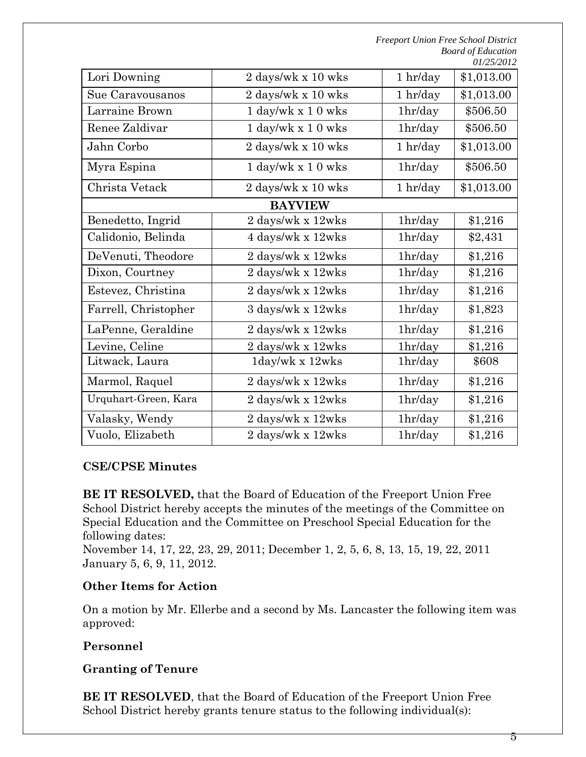| Lori Downing         | 2 days/wk x 10 wks<br>$1$ hr/day         |             | \$1,013.00 |
|----------------------|------------------------------------------|-------------|------------|
| Sue Caravousanos     | 2 days/wk x 10 wks                       | 1 h r / day |            |
| Larraine Brown       | $1 \text{ day/wk} \times 10 \text{ wks}$ | 1hr/day     |            |
| Renee Zaldivar       | $1$ day/wk x $10$ wks<br>1hr/day         |             | \$506.50   |
| Jahn Corbo           | 2 days/wk x 10 wks                       | 1 h r / day | \$1,013.00 |
| Myra Espina          | $1$ day/wk x $10$ wks                    | 1hr/day     | \$506.50   |
| Christa Vetack       | 2 days/wk x 10 wks<br>1 h r / day        |             | \$1,013.00 |
|                      | <b>BAYVIEW</b>                           |             |            |
| Benedetto, Ingrid    | 2 days/wk x 12wks                        | 1hr/day     | \$1,216    |
| Calidonio, Belinda   | 4 days/wk x 12wks                        | 1hr/day     | \$2,431    |
| DeVenuti, Theodore   | 2 days/wk x 12wks                        | 1hr/day     | \$1,216    |
| Dixon, Courtney      | 2 days/wk x 12wks                        | 1hr/day     | \$1,216    |
| Estevez, Christina   | $2$ days/wk x $12w\mathrm{ks}$           | 1hr/day     | \$1,216    |
| Farrell, Christopher | 3 days/wk x 12wks                        | 1hr/day     | \$1,823    |
| LaPenne, Geraldine   | 2 days/wk x 12wks                        | 1hr/day     | \$1,216    |
| Levine, Celine       | 2 days/wk x 12wks                        | 1hr/day     | \$1,216    |
| Litwack, Laura       | 1day/wk x 12wks<br>1hr/day               |             | \$608      |
| Marmol, Raquel       | $2$ days/wk x $12w\mathrm{ks}$           | 1hr/day     | \$1,216    |
| Urquhart-Green, Kara | 2 days/wk x 12wks                        | 1hr/day     | \$1,216    |
| Valasky, Wendy       | 2 days/wk x 12wks                        | 1hr/day     | \$1,216    |
| Vuolo, Elizabeth     | 2 days/wk x 12wks                        | 1hr/day     | \$1,216    |

# **CSE/CPSE Minutes**

**BE IT RESOLVED,** that the Board of Education of the Freeport Union Free School District hereby accepts the minutes of the meetings of the Committee on Special Education and the Committee on Preschool Special Education for the following dates:

November 14, 17, 22, 23, 29, 2011; December 1, 2, 5, 6, 8, 13, 15, 19, 22, 2011 January 5, 6, 9, 11, 2012.

### **Other Items for Action**

On a motion by Mr. Ellerbe and a second by Ms. Lancaster the following item was approved:

### **Personnel**

### **Granting of Tenure**

**BE IT RESOLVED**, that the Board of Education of the Freeport Union Free School District hereby grants tenure status to the following individual(s):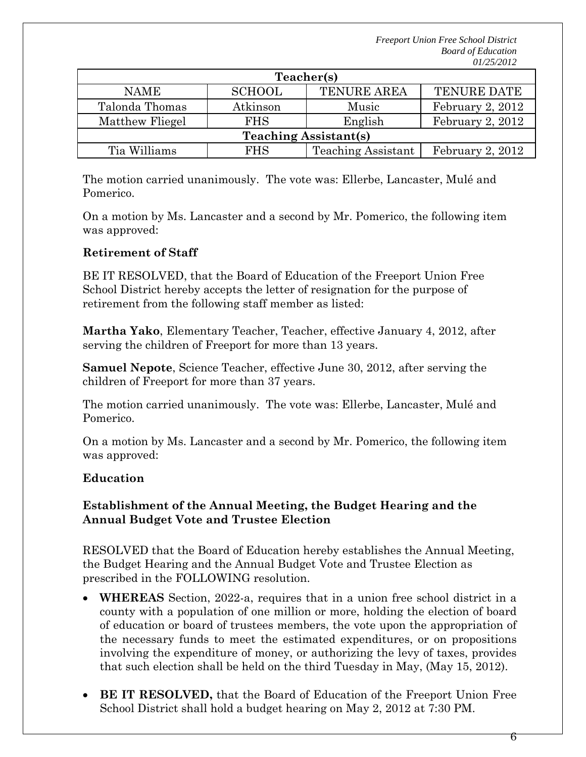| Teacher(s)                   |               |                           |                    |
|------------------------------|---------------|---------------------------|--------------------|
| <b>NAME</b>                  | <b>SCHOOL</b> | <b>TENURE AREA</b>        | <b>TENURE DATE</b> |
| Talonda Thomas               | Atkinson      | Music                     | February 2, 2012   |
| Matthew Fliegel              | <b>FHS</b>    | English                   | February 2, 2012   |
| <b>Teaching Assistant(s)</b> |               |                           |                    |
| Tia Williams                 | <b>FHS</b>    | <b>Teaching Assistant</b> | February 2, 2012   |

The motion carried unanimously. The vote was: Ellerbe, Lancaster, Mulé and Pomerico.

On a motion by Ms. Lancaster and a second by Mr. Pomerico, the following item was approved:

# **Retirement of Staff**

BE IT RESOLVED, that the Board of Education of the Freeport Union Free School District hereby accepts the letter of resignation for the purpose of retirement from the following staff member as listed:

**Martha Yako**, Elementary Teacher, Teacher, effective January 4, 2012, after serving the children of Freeport for more than 13 years.

**Samuel Nepote**, Science Teacher, effective June 30, 2012, after serving the children of Freeport for more than 37 years.

The motion carried unanimously. The vote was: Ellerbe, Lancaster, Mulé and Pomerico.

On a motion by Ms. Lancaster and a second by Mr. Pomerico, the following item was approved:

# **Education**

# **Establishment of the Annual Meeting, the Budget Hearing and the Annual Budget Vote and Trustee Election**

RESOLVED that the Board of Education hereby establishes the Annual Meeting, the Budget Hearing and the Annual Budget Vote and Trustee Election as prescribed in the FOLLOWING resolution.

- **WHEREAS** Section, 2022-a, requires that in a union free school district in a county with a population of one million or more, holding the election of board of education or board of trustees members, the vote upon the appropriation of the necessary funds to meet the estimated expenditures, or on propositions involving the expenditure of money, or authorizing the levy of taxes, provides that such election shall be held on the third Tuesday in May, (May 15, 2012).
- **BE IT RESOLVED,** that the Board of Education of the Freeport Union Free School District shall hold a budget hearing on May 2, 2012 at 7:30 PM.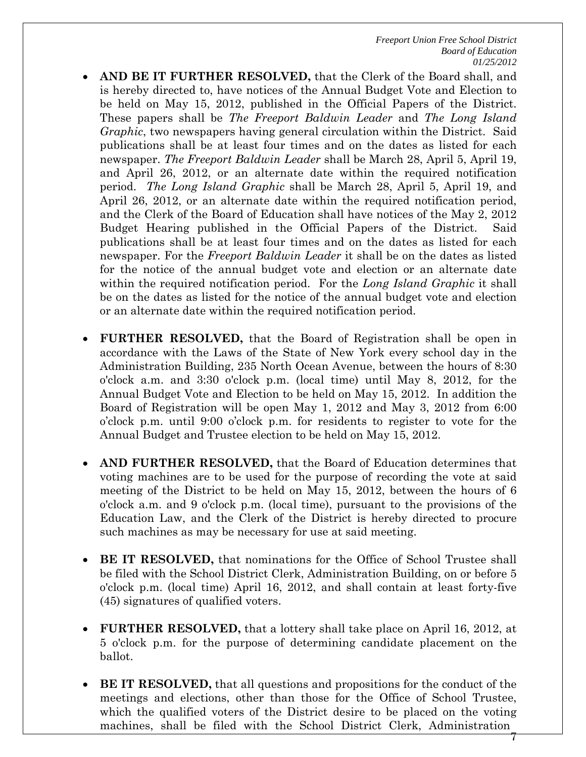- **AND BE IT FURTHER RESOLVED,** that the Clerk of the Board shall, and is hereby directed to, have notices of the Annual Budget Vote and Election to be held on May 15, 2012, published in the Official Papers of the District. These papers shall be *The Freeport Baldwin Leader* and *The Long Island Graphic*, two newspapers having general circulation within the District. Said publications shall be at least four times and on the dates as listed for each newspaper. *The Freeport Baldwin Leader* shall be March 28, April 5, April 19, and April 26, 2012, or an alternate date within the required notification period. *The Long Island Graphic* shall be March 28, April 5, April 19, and April 26, 2012, or an alternate date within the required notification period, and the Clerk of the Board of Education shall have notices of the May 2, 2012 Budget Hearing published in the Official Papers of the District. Said publications shall be at least four times and on the dates as listed for each newspaper. For the *Freeport Baldwin Leader* it shall be on the dates as listed for the notice of the annual budget vote and election or an alternate date within the required notification period. For the *Long Island Graphic* it shall be on the dates as listed for the notice of the annual budget vote and election or an alternate date within the required notification period.
- **FURTHER RESOLVED,** that the Board of Registration shall be open in accordance with the Laws of the State of New York every school day in the Administration Building, 235 North Ocean Avenue, between the hours of 8:30 o'clock a.m. and 3:30 o'clock p.m. (local time) until May 8, 2012, for the Annual Budget Vote and Election to be held on May 15, 2012. In addition the Board of Registration will be open May 1, 2012 and May 3, 2012 from 6:00 o'clock p.m. until 9:00 o'clock p.m. for residents to register to vote for the Annual Budget and Trustee election to be held on May 15, 2012.
- **AND FURTHER RESOLVED,** that the Board of Education determines that voting machines are to be used for the purpose of recording the vote at said meeting of the District to be held on May 15, 2012, between the hours of 6 o'clock a.m. and 9 o'clock p.m. (local time), pursuant to the provisions of the Education Law, and the Clerk of the District is hereby directed to procure such machines as may be necessary for use at said meeting.
- **BE IT RESOLVED,** that nominations for the Office of School Trustee shall be filed with the School District Clerk, Administration Building, on or before 5 o'clock p.m. (local time) April 16, 2012, and shall contain at least forty-five (45) signatures of qualified voters.
- **FURTHER RESOLVED,** that a lottery shall take place on April 16, 2012, at 5 o'clock p.m. for the purpose of determining candidate placement on the ballot.
- 7 **BE IT RESOLVED,** that all questions and propositions for the conduct of the meetings and elections, other than those for the Office of School Trustee, which the qualified voters of the District desire to be placed on the voting machines, shall be filed with the School District Clerk, Administration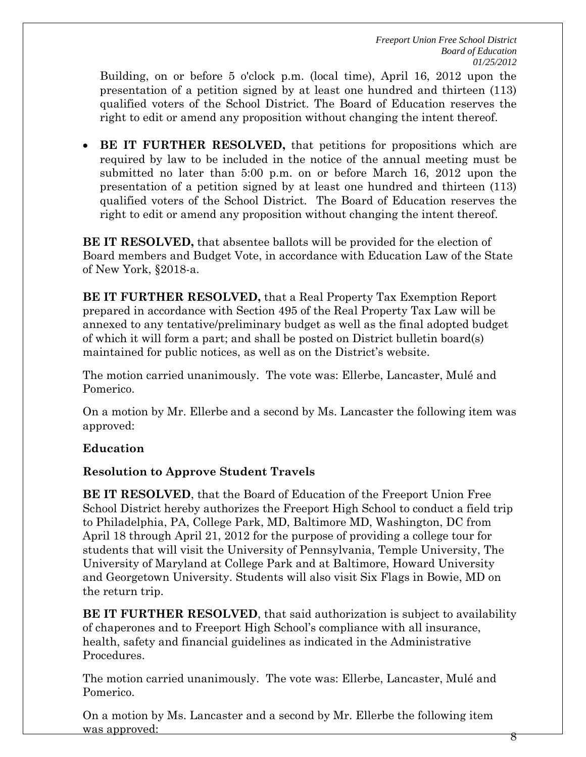Building, on or before 5 o'clock p.m. (local time), April 16, 2012 upon the presentation of a petition signed by at least one hundred and thirteen (113) qualified voters of the School District. The Board of Education reserves the right to edit or amend any proposition without changing the intent thereof.

 **BE IT FURTHER RESOLVED,** that petitions for propositions which are required by law to be included in the notice of the annual meeting must be submitted no later than 5:00 p.m. on or before March 16, 2012 upon the presentation of a petition signed by at least one hundred and thirteen (113) qualified voters of the School District. The Board of Education reserves the right to edit or amend any proposition without changing the intent thereof.

**BE IT RESOLVED,** that absentee ballots will be provided for the election of Board members and Budget Vote, in accordance with Education Law of the State of New York, §2018-a.

**BE IT FURTHER RESOLVED,** that a Real Property Tax Exemption Report prepared in accordance with Section 495 of the Real Property Tax Law will be annexed to any tentative/preliminary budget as well as the final adopted budget of which it will form a part; and shall be posted on District bulletin board(s) maintained for public notices, as well as on the District's website.

The motion carried unanimously. The vote was: Ellerbe, Lancaster, Mulé and Pomerico.

On a motion by Mr. Ellerbe and a second by Ms. Lancaster the following item was approved:

# **Education**

# **Resolution to Approve Student Travels**

**BE IT RESOLVED**, that the Board of Education of the Freeport Union Free School District hereby authorizes the Freeport High School to conduct a field trip to Philadelphia, PA, College Park, MD, Baltimore MD, Washington, DC from April 18 through April 21, 2012 for the purpose of providing a college tour for students that will visit the University of Pennsylvania, Temple University, The University of Maryland at College Park and at Baltimore, Howard University and Georgetown University. Students will also visit Six Flags in Bowie, MD on the return trip.

**BE IT FURTHER RESOLVED**, that said authorization is subject to availability of chaperones and to Freeport High School's compliance with all insurance, health, safety and financial guidelines as indicated in the Administrative Procedures.

The motion carried unanimously. The vote was: Ellerbe, Lancaster, Mulé and Pomerico.

On a motion by Ms. Lancaster and a second by Mr. Ellerbe the following item was approved:

8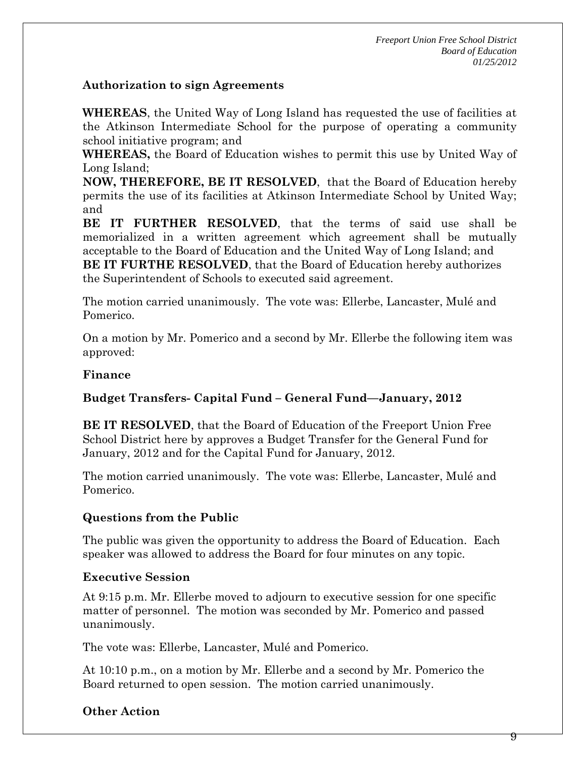### **Authorization to sign Agreements**

**WHEREAS**, the United Way of Long Island has requested the use of facilities at the Atkinson Intermediate School for the purpose of operating a community school initiative program; and

**WHEREAS,** the Board of Education wishes to permit this use by United Way of Long Island;

**NOW, THEREFORE, BE IT RESOLVED**, that the Board of Education hereby permits the use of its facilities at Atkinson Intermediate School by United Way; and

**BE IT FURTHER RESOLVED**, that the terms of said use shall be memorialized in a written agreement which agreement shall be mutually acceptable to the Board of Education and the United Way of Long Island; and **BE IT FURTHE RESOLVED**, that the Board of Education hereby authorizes the Superintendent of Schools to executed said agreement.

The motion carried unanimously. The vote was: Ellerbe, Lancaster, Mulé and Pomerico.

On a motion by Mr. Pomerico and a second by Mr. Ellerbe the following item was approved:

### **Finance**

# **Budget Transfers- Capital Fund – General Fund—January, 2012**

**BE IT RESOLVED**, that the Board of Education of the Freeport Union Free School District here by approves a Budget Transfer for the General Fund for January, 2012 and for the Capital Fund for January, 2012.

The motion carried unanimously. The vote was: Ellerbe, Lancaster, Mulé and Pomerico.

# **Questions from the Public**

The public was given the opportunity to address the Board of Education. Each speaker was allowed to address the Board for four minutes on any topic.

# **Executive Session**

At 9:15 p.m. Mr. Ellerbe moved to adjourn to executive session for one specific matter of personnel. The motion was seconded by Mr. Pomerico and passed unanimously.

The vote was: Ellerbe, Lancaster, Mulé and Pomerico.

At 10:10 p.m., on a motion by Mr. Ellerbe and a second by Mr. Pomerico the Board returned to open session. The motion carried unanimously.

# **Other Action**

9